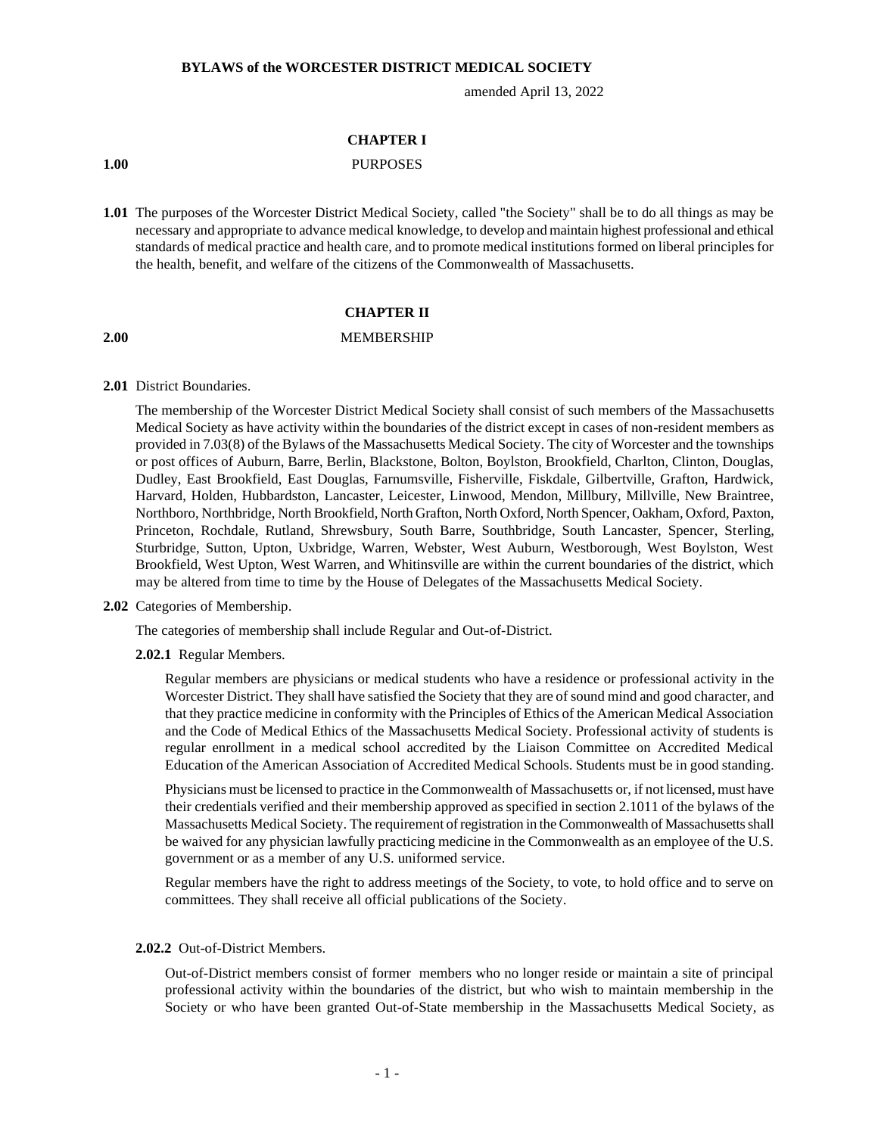#### **BYLAWS of the WORCESTER DISTRICT MEDICAL SOCIETY**

amended April 13, 2022

# **CHAPTER I**

# **1.00** PURPOSES

**1.01** The purposes of the Worcester District Medical Society, called "the Society" shall be to do all things as may be necessary and appropriate to advance medical knowledge, to develop and maintain highest professional and ethical standards of medical practice and health care, and to promote medical institutions formed on liberal principles for the health, benefit, and welfare of the citizens of the Commonwealth of Massachusetts.

# **CHAPTER II**

#### **2.00** MEMBERSHIP

#### **2.01** District Boundaries.

The membership of the Worcester District Medical Society shall consist of such members of the Massachusetts Medical Society as have activity within the boundaries of the district except in cases of non-resident members as provided in 7.03(8) of the Bylaws of the Massachusetts Medical Society. The city of Worcester and the townships or post offices of Auburn, Barre, Berlin, Blackstone, Bolton, Boylston, Brookfield, Charlton, Clinton, Douglas, Dudley, East Brookfield, East Douglas, Farnumsville, Fisherville, Fiskdale, Gilbertville, Grafton, Hardwick, Harvard, Holden, Hubbardston, Lancaster, Leicester, Linwood, Mendon, Millbury, Millville, New Braintree, Northboro, Northbridge, North Brookfield, North Grafton, North Oxford, North Spencer, Oakham, Oxford, Paxton, Princeton, Rochdale, Rutland, Shrewsbury, South Barre, Southbridge, South Lancaster, Spencer, Sterling, Sturbridge, Sutton, Upton, Uxbridge, Warren, Webster, West Auburn, Westborough, West Boylston, West Brookfield, West Upton, West Warren, and Whitinsville are within the current boundaries of the district, which may be altered from time to time by the House of Delegates of the Massachusetts Medical Society.

#### **2.02** Categories of Membership.

The categories of membership shall include Regular and Out-of-District.

#### **2.02.1** Regular Members.

Regular members are physicians or medical students who have a residence or professional activity in the Worcester District. They shall have satisfied the Society that they are of sound mind and good character, and that they practice medicine in conformity with the Principles of Ethics of the American Medical Association and the Code of Medical Ethics of the Massachusetts Medical Society. Professional activity of students is regular enrollment in a medical school accredited by the Liaison Committee on Accredited Medical Education of the American Association of Accredited Medical Schools. Students must be in good standing.

Physicians must be licensed to practice in the Commonwealth of Massachusetts or, if not licensed, must have their credentials verified and their membership approved as specified in section 2.1011 of the bylaws of the Massachusetts Medical Society. The requirement of registration in the Commonwealth of Massachusetts shall be waived for any physician lawfully practicing medicine in the Commonwealth as an employee of the U.S. government or as a member of any U.S. uniformed service.

Regular members have the right to address meetings of the Society, to vote, to hold office and to serve on committees. They shall receive all official publications of the Society.

#### **2.02.2** Out-of-District Members.

Out-of-District members consist of former members who no longer reside or maintain a site of principal professional activity within the boundaries of the district, but who wish to maintain membership in the Society or who have been granted Out-of-State membership in the Massachusetts Medical Society, as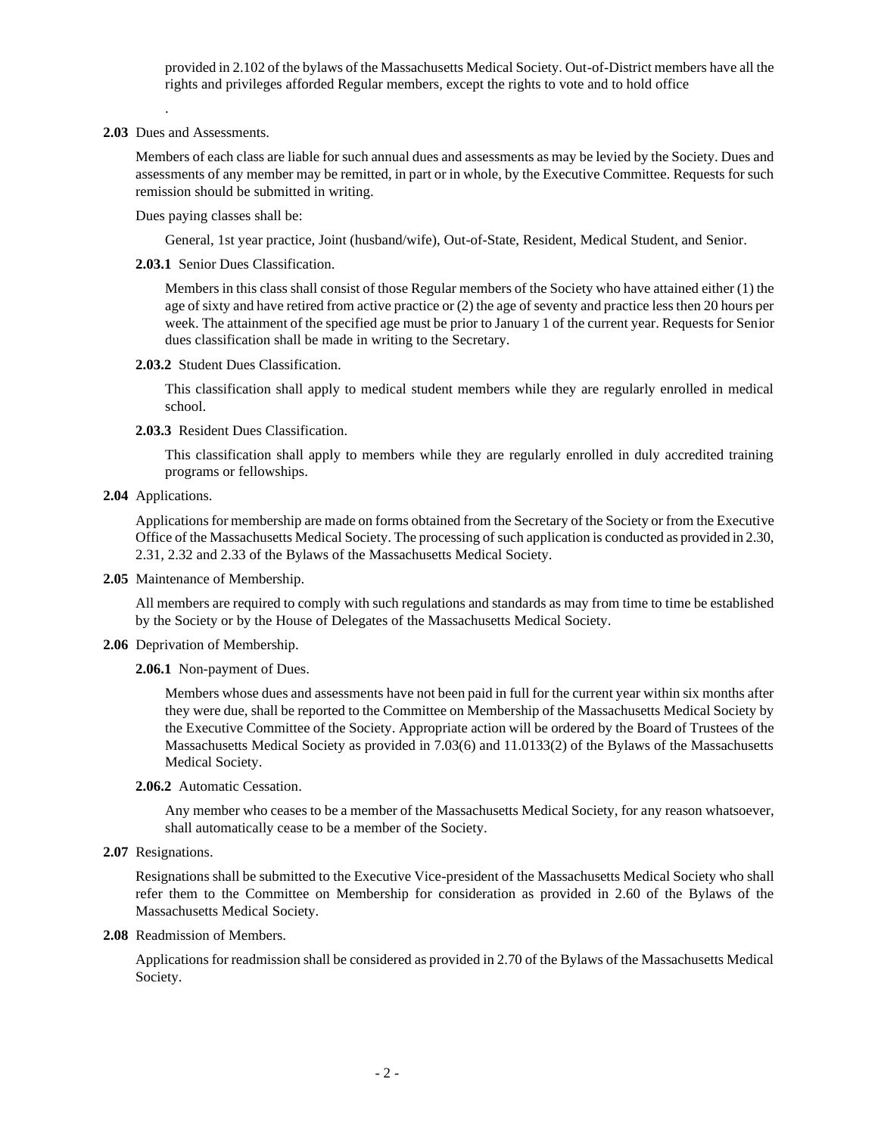provided in 2.102 of the bylaws of the Massachusetts Medical Society. Out-of-District members have all the rights and privileges afforded Regular members, except the rights to vote and to hold office

**2.03** Dues and Assessments.

.

Members of each class are liable for such annual dues and assessments as may be levied by the Society. Dues and assessments of any member may be remitted, in part or in whole, by the Executive Committee. Requests for such remission should be submitted in writing.

Dues paying classes shall be:

General, 1st year practice, Joint (husband/wife), Out-of-State, Resident, Medical Student, and Senior.

**2.03.1** Senior Dues Classification.

Members in this class shall consist of those Regular members of the Society who have attained either (1) the age of sixty and have retired from active practice or (2) the age of seventy and practice less then 20 hours per week. The attainment of the specified age must be prior to January 1 of the current year. Requests for Senior dues classification shall be made in writing to the Secretary.

**2.03.2** Student Dues Classification.

This classification shall apply to medical student members while they are regularly enrolled in medical school.

**2.03.3** Resident Dues Classification.

This classification shall apply to members while they are regularly enrolled in duly accredited training programs or fellowships.

**2.04** Applications.

Applications for membership are made on forms obtained from the Secretary of the Society or from the Executive Office of the Massachusetts Medical Society. The processing of such application is conducted as provided in 2.30, 2.31, 2.32 and 2.33 of the Bylaws of the Massachusetts Medical Society.

**2.05** Maintenance of Membership.

All members are required to comply with such regulations and standards as may from time to time be established by the Society or by the House of Delegates of the Massachusetts Medical Society.

- **2.06** Deprivation of Membership.
	- **2.06.1** Non-payment of Dues.

Members whose dues and assessments have not been paid in full for the current year within six months after they were due, shall be reported to the Committee on Membership of the Massachusetts Medical Society by the Executive Committee of the Society. Appropriate action will be ordered by the Board of Trustees of the Massachusetts Medical Society as provided in 7.03(6) and 11.0133(2) of the Bylaws of the Massachusetts Medical Society.

**2.06.2** Automatic Cessation.

Any member who ceases to be a member of the Massachusetts Medical Society, for any reason whatsoever, shall automatically cease to be a member of the Society.

**2.07** Resignations.

Resignations shall be submitted to the Executive Vice-president of the Massachusetts Medical Society who shall refer them to the Committee on Membership for consideration as provided in 2.60 of the Bylaws of the Massachusetts Medical Society.

**2.08** Readmission of Members.

Applications for readmission shall be considered as provided in 2.70 of the Bylaws of the Massachusetts Medical Society.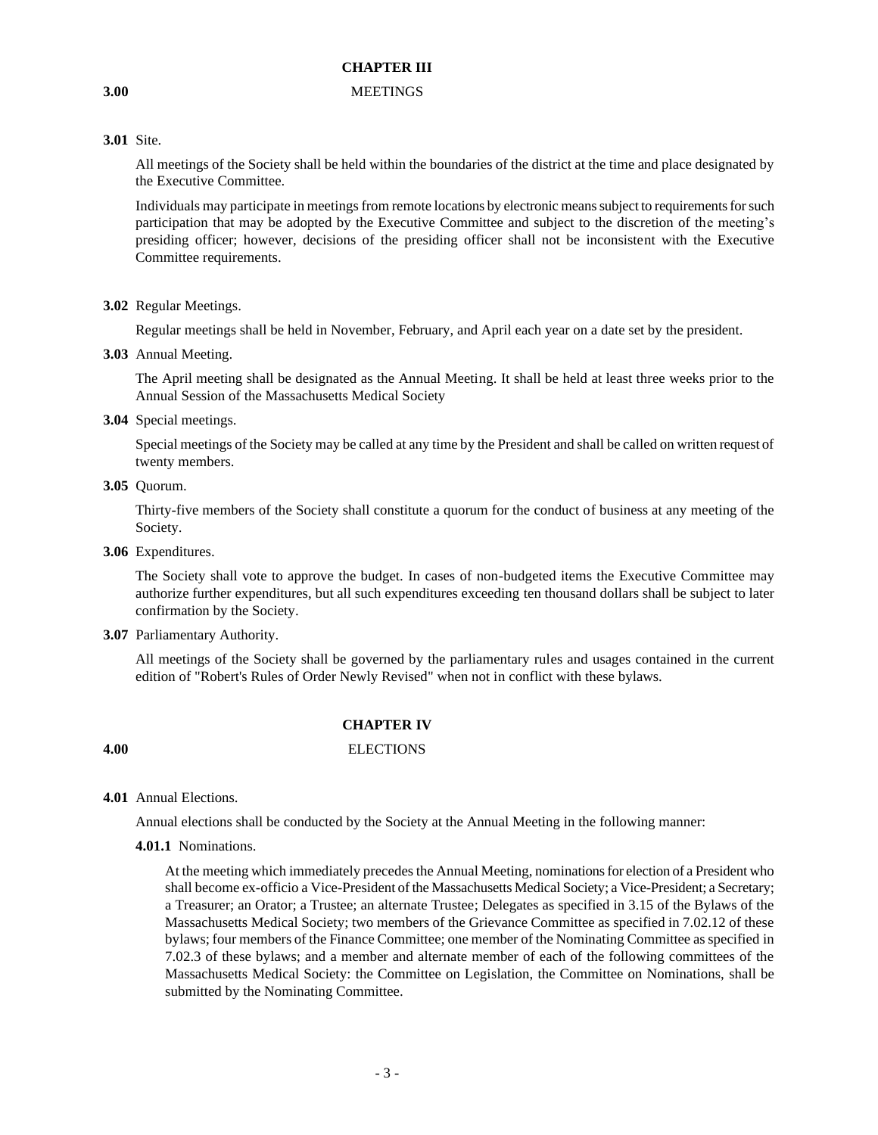# **3.00** MEETINGS

# **3.01** Site.

All meetings of the Society shall be held within the boundaries of the district at the time and place designated by the Executive Committee.

Individuals may participate in meetings from remote locations by electronic means subject to requirements for such participation that may be adopted by the Executive Committee and subject to the discretion of the meeting's presiding officer; however, decisions of the presiding officer shall not be inconsistent with the Executive Committee requirements.

**3.02** Regular Meetings.

Regular meetings shall be held in November, February, and April each year on a date set by the president.

**3.03** Annual Meeting.

The April meeting shall be designated as the Annual Meeting. It shall be held at least three weeks prior to the Annual Session of the Massachusetts Medical Society

**3.04** Special meetings.

Special meetings of the Society may be called at any time by the President and shall be called on written request of twenty members.

**3.05** Quorum.

Thirty-five members of the Society shall constitute a quorum for the conduct of business at any meeting of the Society.

**3.06** Expenditures.

The Society shall vote to approve the budget. In cases of non-budgeted items the Executive Committee may authorize further expenditures, but all such expenditures exceeding ten thousand dollars shall be subject to later confirmation by the Society.

**3.07** Parliamentary Authority.

All meetings of the Society shall be governed by the parliamentary rules and usages contained in the current edition of "Robert's Rules of Order Newly Revised" when not in conflict with these bylaws.

# **CHAPTER IV**

# **4.00** ELECTIONS

**4.01** Annual Elections.

Annual elections shall be conducted by the Society at the Annual Meeting in the following manner:

### **4.01.1** Nominations.

At the meeting which immediately precedes the Annual Meeting, nominations for election of a President who shall become ex-officio a Vice-President of the Massachusetts Medical Society; a Vice-President; a Secretary; a Treasurer; an Orator; a Trustee; an alternate Trustee; Delegates as specified in 3.15 of the Bylaws of the Massachusetts Medical Society; two members of the Grievance Committee as specified in 7.02.12 of these bylaws; four members of the Finance Committee; one member of the Nominating Committee as specified in 7.02.3 of these bylaws; and a member and alternate member of each of the following committees of the Massachusetts Medical Society: the Committee on Legislation, the Committee on Nominations, shall be submitted by the Nominating Committee.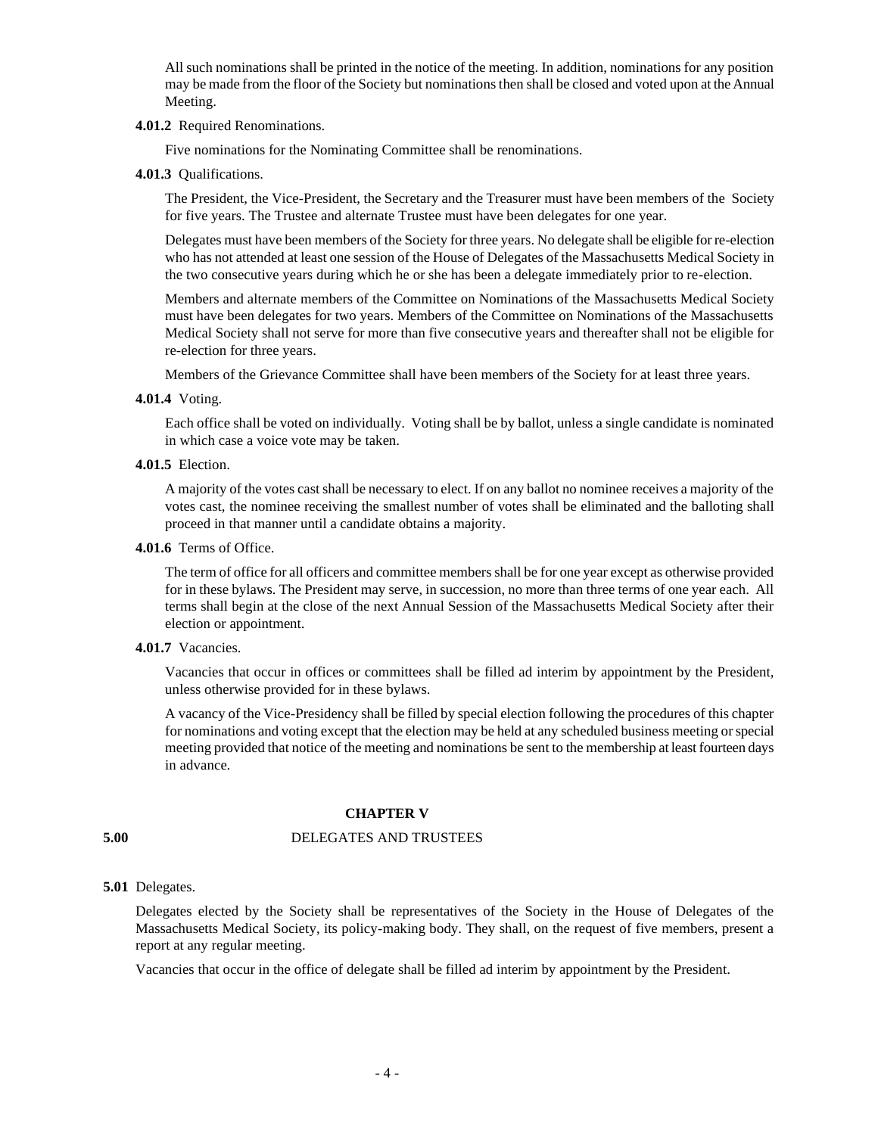All such nominations shall be printed in the notice of the meeting. In addition, nominations for any position may be made from the floor of the Society but nominations then shall be closed and voted upon at the Annual Meeting.

#### **4.01.2** Required Renominations.

Five nominations for the Nominating Committee shall be renominations.

**4.01.3** Qualifications.

The President, the Vice-President, the Secretary and the Treasurer must have been members of the Society for five years. The Trustee and alternate Trustee must have been delegates for one year.

Delegates must have been members of the Society for three years. No delegate shall be eligible for re-election who has not attended at least one session of the House of Delegates of the Massachusetts Medical Society in the two consecutive years during which he or she has been a delegate immediately prior to re-election.

Members and alternate members of the Committee on Nominations of the Massachusetts Medical Society must have been delegates for two years. Members of the Committee on Nominations of the Massachusetts Medical Society shall not serve for more than five consecutive years and thereafter shall not be eligible for re-election for three years.

Members of the Grievance Committee shall have been members of the Society for at least three years.

**4.01.4** Voting.

Each office shall be voted on individually. Voting shall be by ballot, unless a single candidate is nominated in which case a voice vote may be taken.

**4.01.5** Election.

A majority of the votes cast shall be necessary to elect. If on any ballot no nominee receives a majority of the votes cast, the nominee receiving the smallest number of votes shall be eliminated and the balloting shall proceed in that manner until a candidate obtains a majority.

**4.01.6** Terms of Office.

The term of office for all officers and committee members shall be for one year except as otherwise provided for in these bylaws. The President may serve, in succession, no more than three terms of one year each. All terms shall begin at the close of the next Annual Session of the Massachusetts Medical Society after their election or appointment.

**4.01.7** Vacancies.

Vacancies that occur in offices or committees shall be filled ad interim by appointment by the President, unless otherwise provided for in these bylaws.

A vacancy of the Vice-Presidency shall be filled by special election following the procedures of this chapter for nominations and voting except that the election may be held at any scheduled business meeting or special meeting provided that notice of the meeting and nominations be sent to the membership at least fourteen days in advance.

# **CHAPTER V**

# **5.00** DELEGATES AND TRUSTEES

# **5.01** Delegates.

Delegates elected by the Society shall be representatives of the Society in the House of Delegates of the Massachusetts Medical Society, its policy-making body. They shall, on the request of five members, present a report at any regular meeting.

Vacancies that occur in the office of delegate shall be filled ad interim by appointment by the President.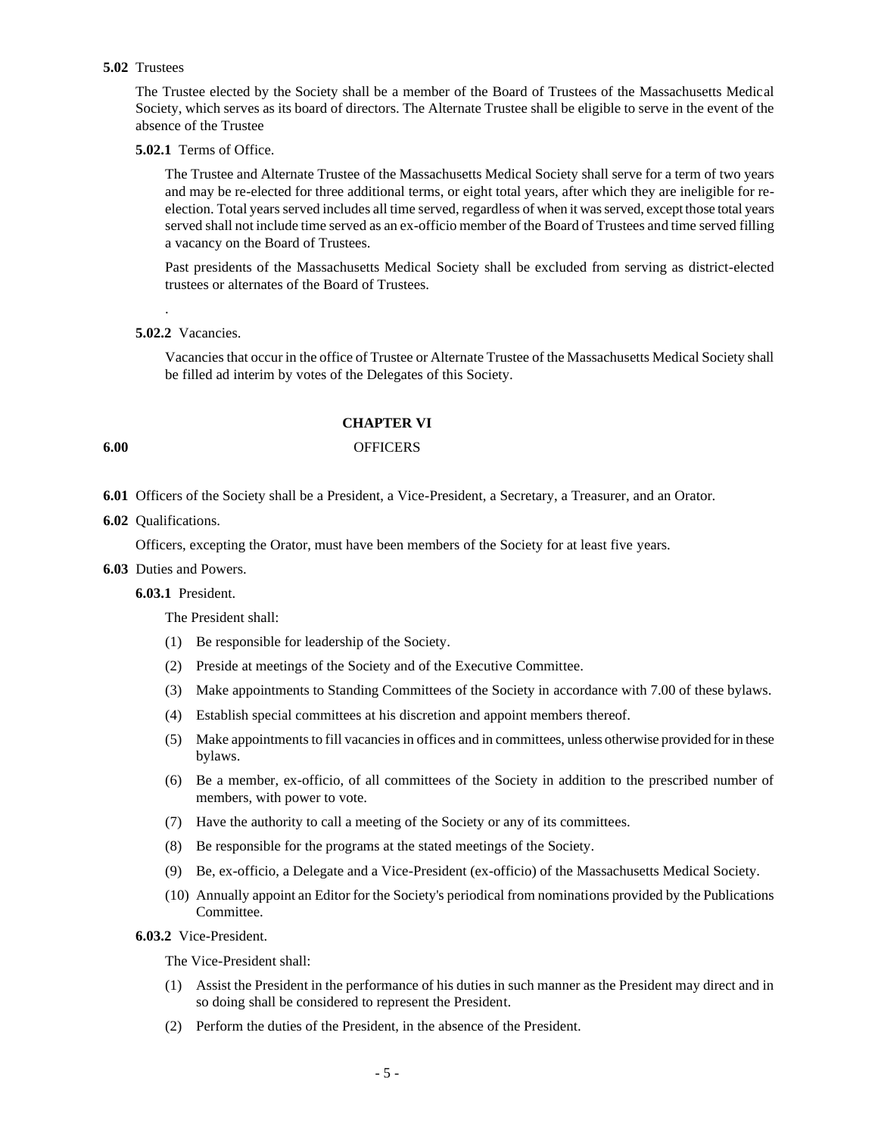#### **5.02** Trustees

The Trustee elected by the Society shall be a member of the Board of Trustees of the Massachusetts Medical Society, which serves as its board of directors. The Alternate Trustee shall be eligible to serve in the event of the absence of the Trustee

# **5.02.1** Terms of Office.

The Trustee and Alternate Trustee of the Massachusetts Medical Society shall serve for a term of two years and may be re-elected for three additional terms, or eight total years, after which they are ineligible for reelection. Total years served includes all time served, regardless of when it was served, except those total years served shall not include time served as an ex-officio member of the Board of Trustees and time served filling a vacancy on the Board of Trustees.

Past presidents of the Massachusetts Medical Society shall be excluded from serving as district-elected trustees or alternates of the Board of Trustees.

### **5.02.2** Vacancies.

.

Vacancies that occur in the office of Trustee or Alternate Trustee of the Massachusetts Medical Society shall be filled ad interim by votes of the Delegates of this Society.

#### **CHAPTER VI**

# **6.00** OFFICERS

- **6.01** Officers of the Society shall be a President, a Vice-President, a Secretary, a Treasurer, and an Orator.
- **6.02** Qualifications.

Officers, excepting the Orator, must have been members of the Society for at least five years.

**6.03** Duties and Powers.

# **6.03.1** President.

The President shall:

- (1) Be responsible for leadership of the Society.
- (2) Preside at meetings of the Society and of the Executive Committee.
- (3) Make appointments to Standing Committees of the Society in accordance with 7.00 of these bylaws.
- (4) Establish special committees at his discretion and appoint members thereof.
- (5) Make appointments to fill vacancies in offices and in committees, unless otherwise provided for in these bylaws.
- (6) Be a member, ex-officio, of all committees of the Society in addition to the prescribed number of members, with power to vote.
- (7) Have the authority to call a meeting of the Society or any of its committees.
- (8) Be responsible for the programs at the stated meetings of the Society.
- (9) Be, ex-officio, a Delegate and a Vice-President (ex-officio) of the Massachusetts Medical Society.
- (10) Annually appoint an Editor for the Society's periodical from nominations provided by the Publications Committee.

**6.03.2** Vice-President.

The Vice-President shall:

- (1) Assist the President in the performance of his duties in such manner as the President may direct and in so doing shall be considered to represent the President.
- (2) Perform the duties of the President, in the absence of the President.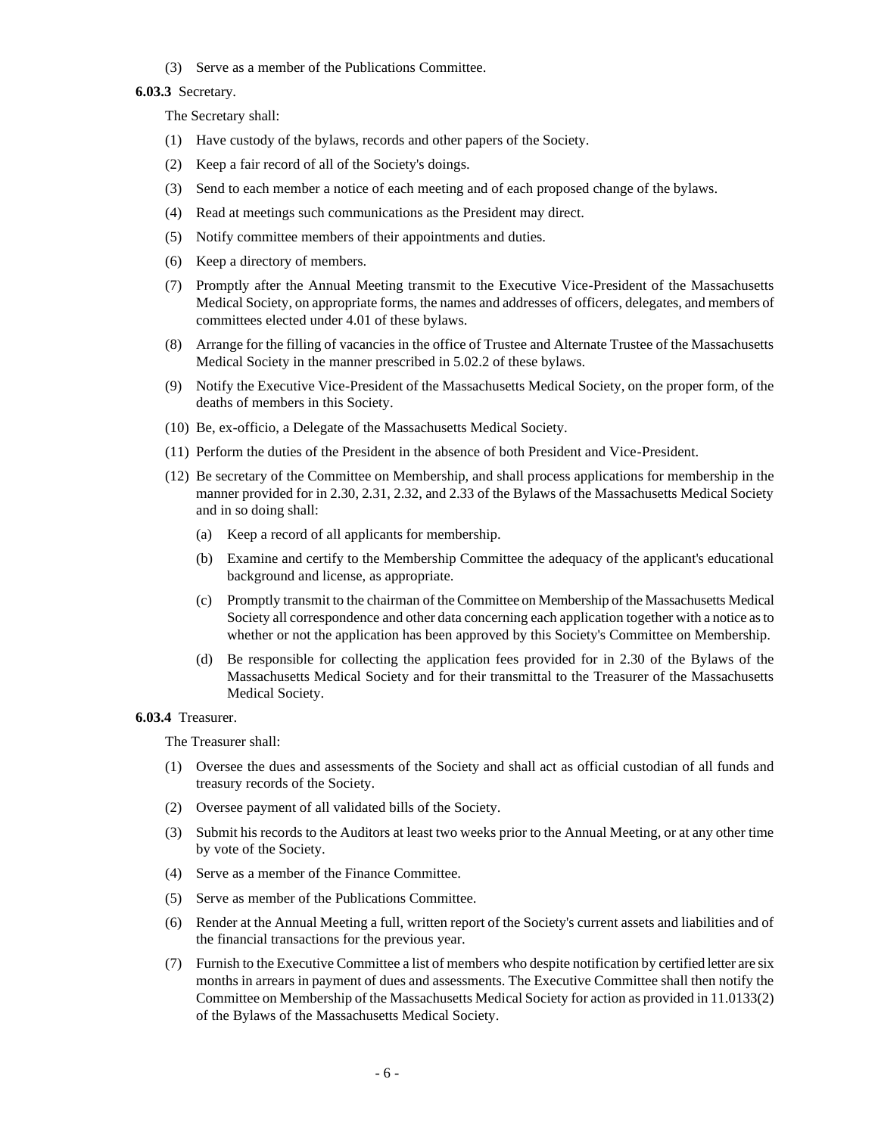(3) Serve as a member of the Publications Committee.

#### **6.03.3** Secretary.

The Secretary shall:

- (1) Have custody of the bylaws, records and other papers of the Society.
- (2) Keep a fair record of all of the Society's doings.
- (3) Send to each member a notice of each meeting and of each proposed change of the bylaws.
- (4) Read at meetings such communications as the President may direct.
- (5) Notify committee members of their appointments and duties.
- (6) Keep a directory of members.
- (7) Promptly after the Annual Meeting transmit to the Executive Vice-President of the Massachusetts Medical Society, on appropriate forms, the names and addresses of officers, delegates, and members of committees elected under 4.01 of these bylaws.
- (8) Arrange for the filling of vacancies in the office of Trustee and Alternate Trustee of the Massachusetts Medical Society in the manner prescribed in 5.02.2 of these bylaws.
- (9) Notify the Executive Vice-President of the Massachusetts Medical Society, on the proper form, of the deaths of members in this Society.
- (10) Be, ex-officio, a Delegate of the Massachusetts Medical Society.
- (11) Perform the duties of the President in the absence of both President and Vice-President.
- (12) Be secretary of the Committee on Membership, and shall process applications for membership in the manner provided for in 2.30, 2.31, 2.32, and 2.33 of the Bylaws of the Massachusetts Medical Society and in so doing shall:
	- (a) Keep a record of all applicants for membership.
	- (b) Examine and certify to the Membership Committee the adequacy of the applicant's educational background and license, as appropriate.
	- (c) Promptly transmit to the chairman of the Committee on Membership of the Massachusetts Medical Society all correspondence and other data concerning each application together with a notice as to whether or not the application has been approved by this Society's Committee on Membership.
	- (d) Be responsible for collecting the application fees provided for in 2.30 of the Bylaws of the Massachusetts Medical Society and for their transmittal to the Treasurer of the Massachusetts Medical Society.

### **6.03.4** Treasurer.

The Treasurer shall:

- (1) Oversee the dues and assessments of the Society and shall act as official custodian of all funds and treasury records of the Society.
- (2) Oversee payment of all validated bills of the Society.
- (3) Submit his records to the Auditors at least two weeks prior to the Annual Meeting, or at any other time by vote of the Society.
- (4) Serve as a member of the Finance Committee.
- (5) Serve as member of the Publications Committee.
- (6) Render at the Annual Meeting a full, written report of the Society's current assets and liabilities and of the financial transactions for the previous year.
- (7) Furnish to the Executive Committee a list of members who despite notification by certified letter are six months in arrears in payment of dues and assessments. The Executive Committee shall then notify the Committee on Membership of the Massachusetts Medical Society for action as provided in 11.0133(2) of the Bylaws of the Massachusetts Medical Society.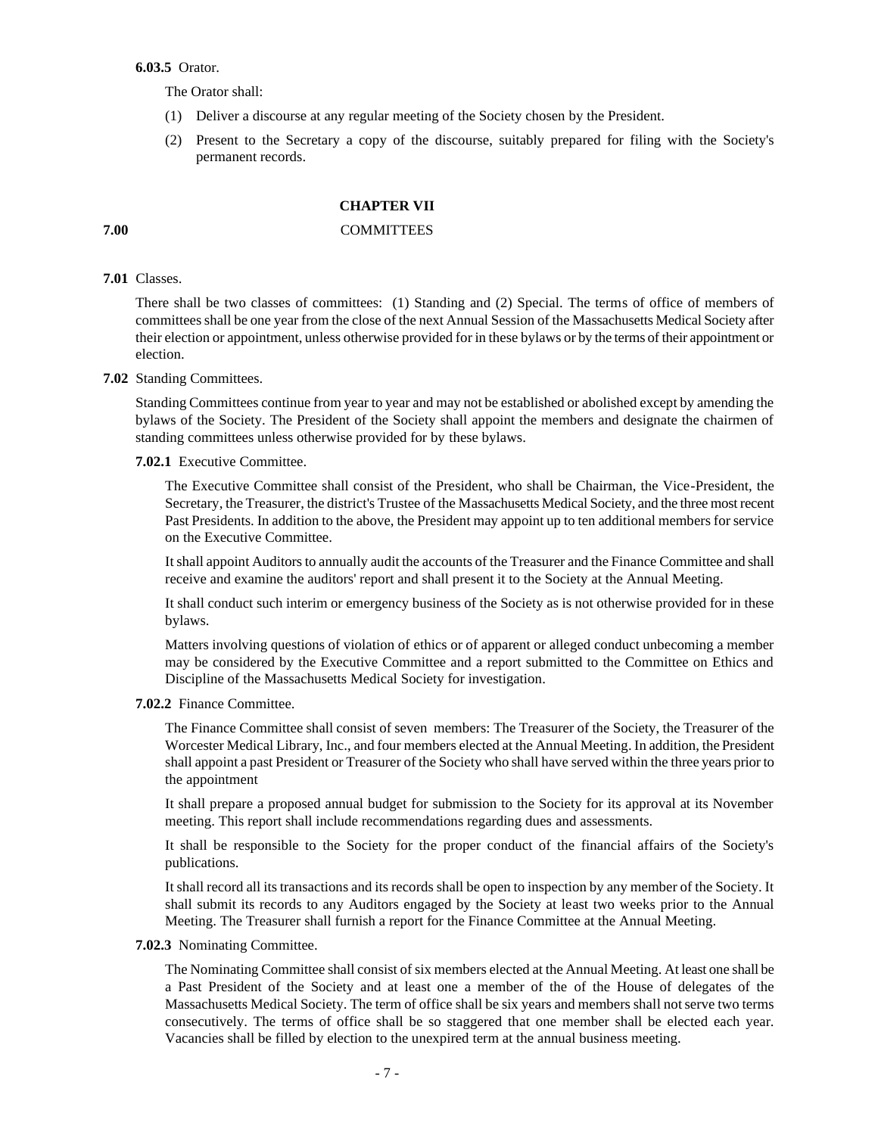**6.03.5** Orator.

The Orator shall:

- (1) Deliver a discourse at any regular meeting of the Society chosen by the President.
- (2) Present to the Secretary a copy of the discourse, suitably prepared for filing with the Society's permanent records.

# **CHAPTER VII**

# **7.00** COMMITTEES

# **7.01** Classes.

There shall be two classes of committees: (1) Standing and (2) Special. The terms of office of members of committees shall be one year from the close of the next Annual Session of the Massachusetts Medical Society after their election or appointment, unless otherwise provided for in these bylaws or by the terms of their appointment or election.

# **7.02** Standing Committees.

Standing Committees continue from year to year and may not be established or abolished except by amending the bylaws of the Society. The President of the Society shall appoint the members and designate the chairmen of standing committees unless otherwise provided for by these bylaws.

### **7.02.1** Executive Committee.

The Executive Committee shall consist of the President, who shall be Chairman, the Vice-President, the Secretary, the Treasurer, the district's Trustee of the Massachusetts Medical Society, and the three most recent Past Presidents. In addition to the above, the President may appoint up to ten additional members for service on the Executive Committee.

It shall appoint Auditors to annually audit the accounts of the Treasurer and the Finance Committee and shall receive and examine the auditors' report and shall present it to the Society at the Annual Meeting.

It shall conduct such interim or emergency business of the Society as is not otherwise provided for in these bylaws.

Matters involving questions of violation of ethics or of apparent or alleged conduct unbecoming a member may be considered by the Executive Committee and a report submitted to the Committee on Ethics and Discipline of the Massachusetts Medical Society for investigation.

### **7.02.2** Finance Committee.

The Finance Committee shall consist of seven members: The Treasurer of the Society, the Treasurer of the Worcester Medical Library, Inc., and four members elected at the Annual Meeting. In addition, the President shall appoint a past President or Treasurer of the Society who shall have served within the three years prior to the appointment

It shall prepare a proposed annual budget for submission to the Society for its approval at its November meeting. This report shall include recommendations regarding dues and assessments.

It shall be responsible to the Society for the proper conduct of the financial affairs of the Society's publications.

It shall record all its transactions and its records shall be open to inspection by any member of the Society. It shall submit its records to any Auditors engaged by the Society at least two weeks prior to the Annual Meeting. The Treasurer shall furnish a report for the Finance Committee at the Annual Meeting.

#### **7.02.3** Nominating Committee.

The Nominating Committee shall consist of six members elected at the Annual Meeting. At least one shall be a Past President of the Society and at least one a member of the of the House of delegates of the Massachusetts Medical Society. The term of office shall be six years and members shall not serve two terms consecutively. The terms of office shall be so staggered that one member shall be elected each year. Vacancies shall be filled by election to the unexpired term at the annual business meeting.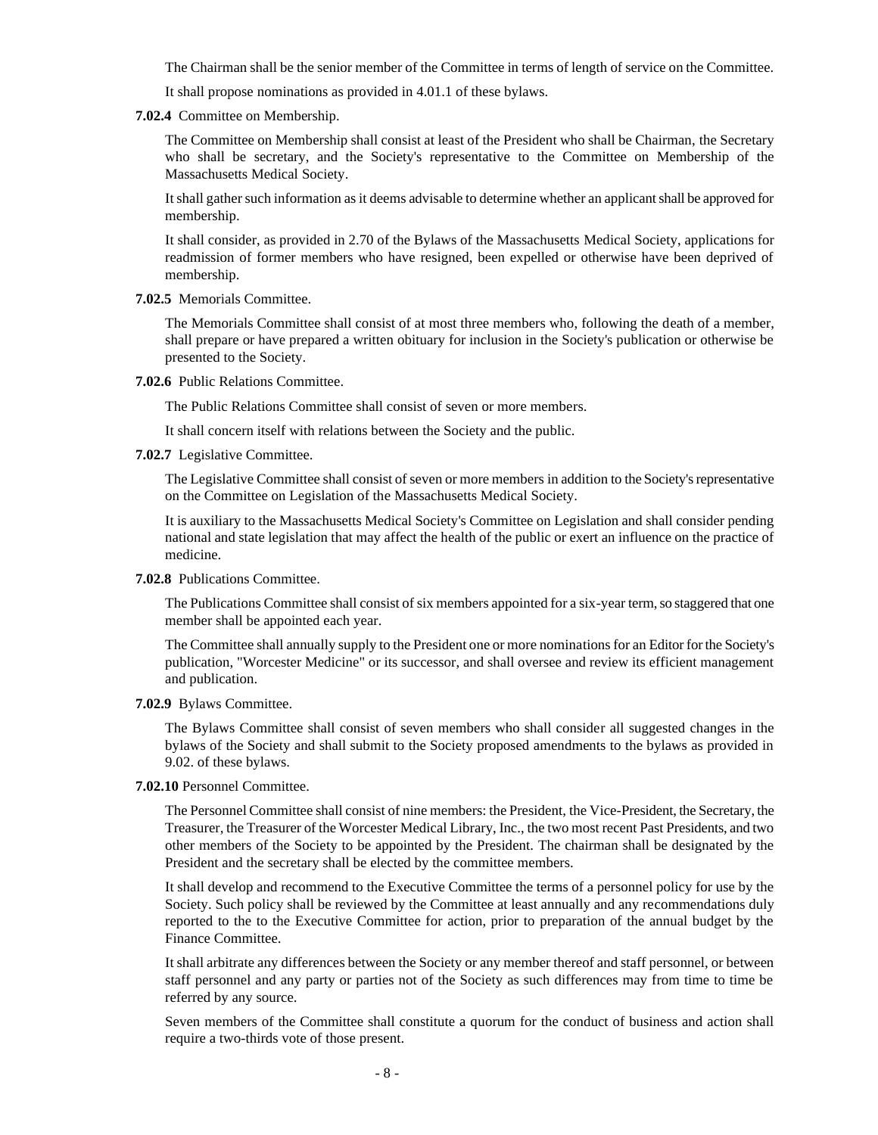The Chairman shall be the senior member of the Committee in terms of length of service on the Committee.

It shall propose nominations as provided in 4.01.1 of these bylaws.

**7.02.4** Committee on Membership.

The Committee on Membership shall consist at least of the President who shall be Chairman, the Secretary who shall be secretary, and the Society's representative to the Committee on Membership of the Massachusetts Medical Society.

It shall gather such information as it deems advisable to determine whether an applicant shall be approved for membership.

It shall consider, as provided in 2.70 of the Bylaws of the Massachusetts Medical Society, applications for readmission of former members who have resigned, been expelled or otherwise have been deprived of membership.

### **7.02.5** Memorials Committee.

The Memorials Committee shall consist of at most three members who, following the death of a member, shall prepare or have prepared a written obituary for inclusion in the Society's publication or otherwise be presented to the Society.

**7.02.6** Public Relations Committee.

The Public Relations Committee shall consist of seven or more members.

It shall concern itself with relations between the Society and the public.

**7.02.7** Legislative Committee.

The Legislative Committee shall consist of seven or more members in addition to the Society's representative on the Committee on Legislation of the Massachusetts Medical Society.

It is auxiliary to the Massachusetts Medical Society's Committee on Legislation and shall consider pending national and state legislation that may affect the health of the public or exert an influence on the practice of medicine.

**7.02.8** Publications Committee.

The Publications Committee shall consist of six members appointed for a six-year term, so staggered that one member shall be appointed each year.

The Committee shall annually supply to the President one or more nominations for an Editor for the Society's publication, "Worcester Medicine" or its successor, and shall oversee and review its efficient management and publication.

#### **7.02.9** Bylaws Committee.

The Bylaws Committee shall consist of seven members who shall consider all suggested changes in the bylaws of the Society and shall submit to the Society proposed amendments to the bylaws as provided in 9.02. of these bylaws.

**7.02.10** Personnel Committee.

The Personnel Committee shall consist of nine members: the President, the Vice-President, the Secretary, the Treasurer, the Treasurer of the Worcester Medical Library, Inc., the two most recent Past Presidents, and two other members of the Society to be appointed by the President. The chairman shall be designated by the President and the secretary shall be elected by the committee members.

It shall develop and recommend to the Executive Committee the terms of a personnel policy for use by the Society. Such policy shall be reviewed by the Committee at least annually and any recommendations duly reported to the to the Executive Committee for action, prior to preparation of the annual budget by the Finance Committee.

It shall arbitrate any differences between the Society or any member thereof and staff personnel, or between staff personnel and any party or parties not of the Society as such differences may from time to time be referred by any source.

Seven members of the Committee shall constitute a quorum for the conduct of business and action shall require a two-thirds vote of those present.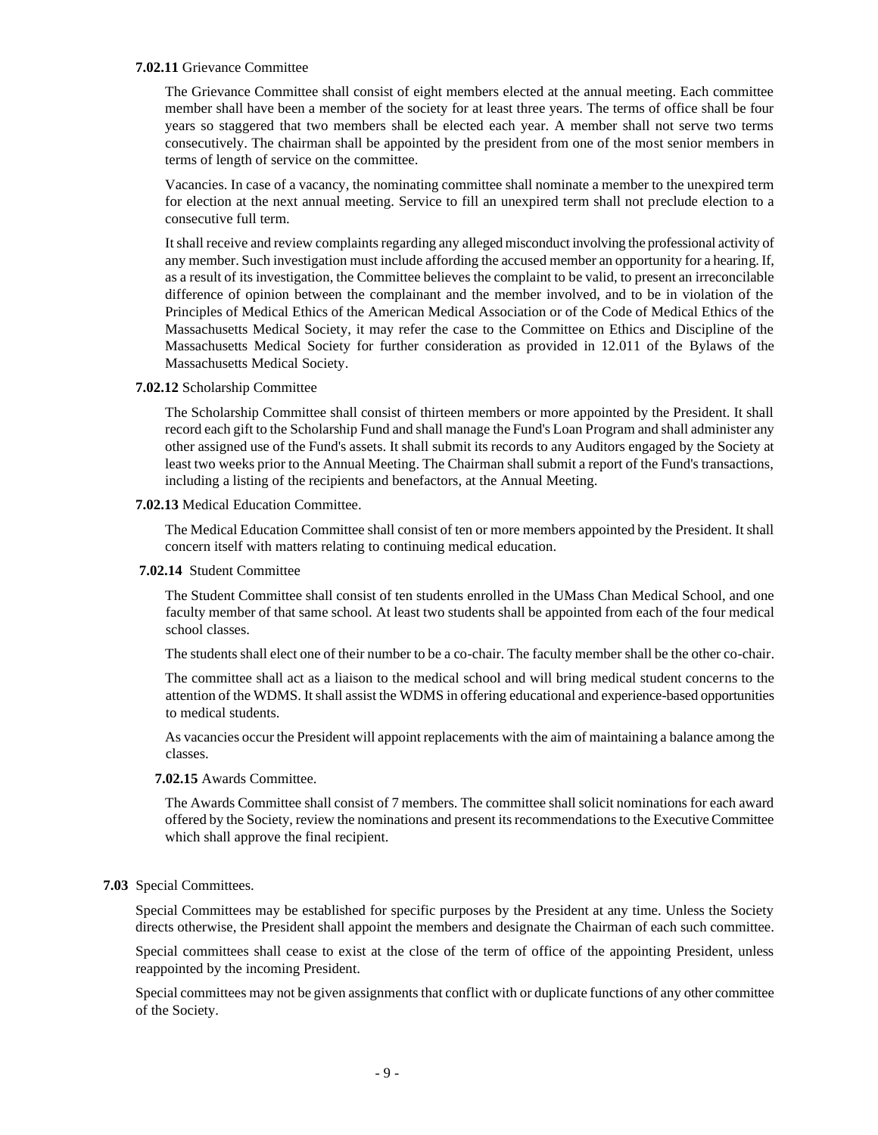### **7.02.11** Grievance Committee

The Grievance Committee shall consist of eight members elected at the annual meeting. Each committee member shall have been a member of the society for at least three years. The terms of office shall be four years so staggered that two members shall be elected each year. A member shall not serve two terms consecutively. The chairman shall be appointed by the president from one of the most senior members in terms of length of service on the committee.

Vacancies. In case of a vacancy, the nominating committee shall nominate a member to the unexpired term for election at the next annual meeting. Service to fill an unexpired term shall not preclude election to a consecutive full term.

It shall receive and review complaints regarding any alleged misconduct involving the professional activity of any member. Such investigation must include affording the accused member an opportunity for a hearing. If, as a result of its investigation, the Committee believes the complaint to be valid, to present an irreconcilable difference of opinion between the complainant and the member involved, and to be in violation of the Principles of Medical Ethics of the American Medical Association or of the Code of Medical Ethics of the Massachusetts Medical Society, it may refer the case to the Committee on Ethics and Discipline of the Massachusetts Medical Society for further consideration as provided in 12.011 of the Bylaws of the Massachusetts Medical Society.

#### **7.02.12** Scholarship Committee

The Scholarship Committee shall consist of thirteen members or more appointed by the President. It shall record each gift to the Scholarship Fund and shall manage the Fund's Loan Program and shall administer any other assigned use of the Fund's assets. It shall submit its records to any Auditors engaged by the Society at least two weeks prior to the Annual Meeting. The Chairman shall submit a report of the Fund's transactions, including a listing of the recipients and benefactors, at the Annual Meeting.

# **7.02.13** Medical Education Committee.

The Medical Education Committee shall consist of ten or more members appointed by the President. It shall concern itself with matters relating to continuing medical education.

#### **7.02.14** Student Committee

The Student Committee shall consist of ten students enrolled in the UMass Chan Medical School, and one faculty member of that same school*.* At least two students shall be appointed from each of the four medical school classes.

The students shall elect one of their number to be a co-chair. The faculty member shall be the other co-chair.

The committee shall act as a liaison to the medical school and will bring medical student concerns to the attention of the WDMS. It shall assist the WDMS in offering educational and experience-based opportunities to medical students.

As vacancies occur the President will appoint replacements with the aim of maintaining a balance among the classes.

#### **7.02.15** Awards Committee.

The Awards Committee shall consist of 7 members. The committee shall solicit nominations for each award offered by the Society, review the nominations and present its recommendations to the Executive Committee which shall approve the final recipient.

#### **7.03** Special Committees.

Special Committees may be established for specific purposes by the President at any time. Unless the Society directs otherwise, the President shall appoint the members and designate the Chairman of each such committee.

Special committees shall cease to exist at the close of the term of office of the appointing President, unless reappointed by the incoming President.

Special committees may not be given assignments that conflict with or duplicate functions of any other committee of the Society.